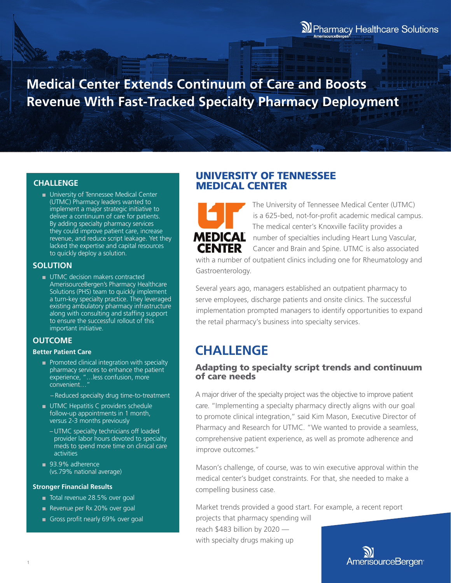**Medical Center Extends Continuum of Care and Boosts Revenue With Fast-Tracked Specialty Pharmacy Deployment**

### **CHALLENGE**

■ University of Tennessee Medical Center (UTMC) Pharmacy leaders wanted to implement a major strategic initiative to deliver a continuum of care for patients. By adding specialty pharmacy services they could improve patient care, increase revenue, and reduce script leakage. Yet they lacked the expertise and capital resources to quickly deploy a solution.

### **SOLUTION**

■ UTMC decision makers contracted AmerisourceBergen's Pharmacy Healthcare Solutions (PHS) team to quickly implement a turn-key specialty practice. They leveraged existing ambulatory pharmacy infrastructure along with consulting and staffing support to ensure the successful rollout of this important initiative.

### **OUTCOME**

#### **Better Patient Care**

- Promoted clinical integration with specialty pharmacy services to enhance the patient experience, "…less confusion, more convenient…"
	- Reduced specialty drug time-to-treatment
- UTMC Hepatitis C providers schedule follow-up appointments in 1 month, versus 2-3 months previously
	- UTMC specialty technicians off loaded provider labor hours devoted to specialty meds to spend more time on clinical care activities
- 93.9% adherence (vs.79% national average)

#### **Stronger Financial Results**

- Total revenue 28.5% over goal
- Revenue per Rx 20% over goal
- Gross profit nearly 69% over goal

## UNIVERSITY OF TENNESSEE MEDICAL CENTER



The University of Tennessee Medical Center (UTMC) is a 625-bed, not-for-profit academic medical campus. The medical center's Knoxville facility provides a number of specialties including Heart Lung Vascular, Cancer and Brain and Spine. UTMC is also associated

with a number of outpatient clinics including one for Rheumatology and Gastroenterology.

Several years ago, managers established an outpatient pharmacy to serve employees, discharge patients and onsite clinics. The successful implementation prompted managers to identify opportunities to expand the retail pharmacy's business into specialty services.

# **CHALLENGE**

## Adapting to specialty script trends and continuum of care needs

A major driver of the specialty project was the objective to improve patient care. "Implementing a specialty pharmacy directly aligns with our goal to promote clinical integration," said Kim Mason, Executive Director of Pharmacy and Research for UTMC. "We wanted to provide a seamless, comprehensive patient experience, as well as promote adherence and improve outcomes."

Mason's challenge, of course, was to win executive approval within the medical center's budget constraints. For that, she needed to make a compelling business case.

Market trends provided a good start. For example, a recent report

projects that pharmacy spending will reach \$483 billion by 2020 with specialty drugs making up

AmerisourceBergen<sup>®</sup>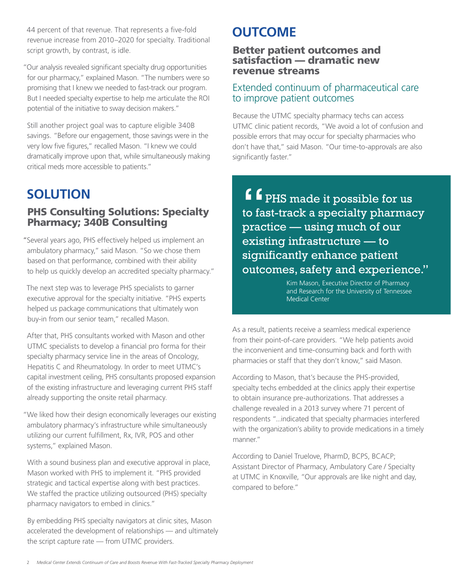44 percent of that revenue. That represents a five-fold revenue increase from 2010–2020 for specialty. Traditional script growth, by contrast, is idle.

"Our analysis revealed significant specialty drug opportunities for our pharmacy," explained Mason. "The numbers were so promising that I knew we needed to fast-track our program. But I needed specialty expertise to help me articulate the ROI potential of the initiative to sway decision makers."

Still another project goal was to capture eligible 340B savings. "Before our engagement, those savings were in the very low five figures," recalled Mason. "I knew we could dramatically improve upon that, while simultaneously making critical meds more accessible to patients."

# **SOLUTION**

# PHS Consulting Solutions: Specialty Pharmacy; 340B Consulting

"Several years ago, PHS effectively helped us implement an ambulatory pharmacy," said Mason. "So we chose them based on that performance, combined with their ability to help us quickly develop an accredited specialty pharmacy."

The next step was to leverage PHS specialists to garner executive approval for the specialty initiative. "PHS experts helped us package communications that ultimately won buy-in from our senior team," recalled Mason.

After that, PHS consultants worked with Mason and other UTMC specialists to develop a financial pro forma for their specialty pharmacy service line in the areas of Oncology, Hepatitis C and Rheumatology. In order to meet UTMC's capital investment ceiling, PHS consultants proposed expansion of the existing infrastructure and leveraging current PHS staff already supporting the onsite retail pharmacy.

"We liked how their design economically leverages our existing ambulatory pharmacy's infrastructure while simultaneously utilizing our current fulfillment, Rx, IVR, POS and other systems," explained Mason.

With a sound business plan and executive approval in place, Mason worked with PHS to implement it. "PHS provided strategic and tactical expertise along with best practices. We staffed the practice utilizing outsourced (PHS) specialty pharmacy navigators to embed in clinics."

By embedding PHS specialty navigators at clinic sites, Mason accelerated the development of relationships — and ultimately the script capture rate — from UTMC providers.

# **OUTCOME**

## Better patient outcomes and satisfaction — dramatic new revenue streams

## Extended continuum of pharmaceutical care to improve patient outcomes

Because the UTMC specialty pharmacy techs can access UTMC clinic patient records, "We avoid a lot of confusion and possible errors that may occur for specialty pharmacies who don't have that," said Mason. "Our time-to-approvals are also significantly faster."

f f <sub>PHS</sub> made it possible for us to fast-track a specialty pharmacy practice — using much of our existing infrastructure — to significantly enhance patient outcomes, safety and experience."

Kim Mason, Executive Director of Pharmacy and Research for the University of Tennessee Medical Center

As a result, patients receive a seamless medical experience from their point-of-care providers. "We help patients avoid the inconvenient and time-consuming back and forth with pharmacies or staff that they don't know," said Mason.

According to Mason, that's because the PHS-provided, specialty techs embedded at the clinics apply their expertise to obtain insurance pre-authorizations. That addresses a challenge revealed in a 2013 survey where 71 percent of respondents "...indicated that specialty pharmacies interfered with the organization's ability to provide medications in a timely manner."

According to Daniel Truelove, PharmD, BCPS, BCACP; Assistant Director of Pharmacy, Ambulatory Care / Specialty at UTMC in Knoxville, "Our approvals are like night and day, compared to before."